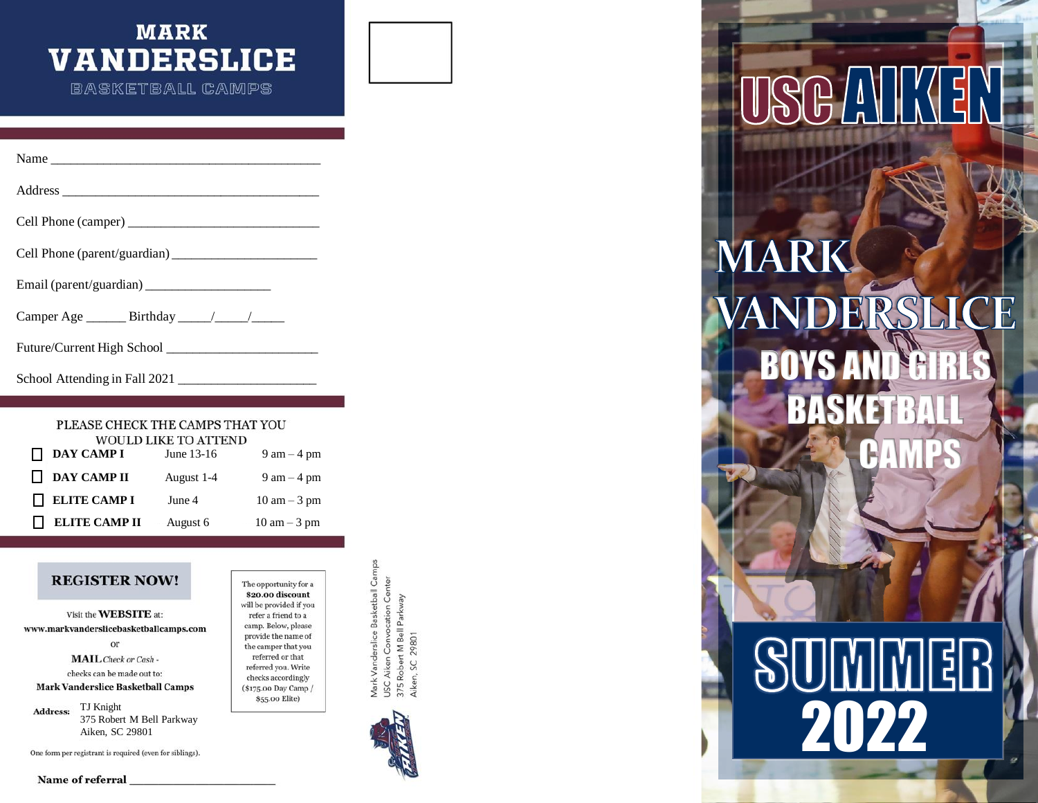# **MARK VANDERSLICE**

**BASKETBALL CAMPS** 

| Name                                          |
|-----------------------------------------------|
|                                               |
|                                               |
|                                               |
|                                               |
| Camper Age ________ Birthday ______/ _______/ |

Future/Current High School \_\_\_\_\_\_\_\_\_\_\_\_\_\_\_\_\_\_\_\_\_\_\_

School Attending in Fall 2021 \_\_\_\_\_\_\_\_\_\_\_\_\_\_\_\_\_\_\_\_\_

### PLEASE CHECK THE CAMPS THAT YOU WOULD LIKE TO ATTEND

| $\Box$ DAY CAMP I    | June 13-16 | $9 \text{ am} - 4 \text{ pm}$  |  |  |  |
|----------------------|------------|--------------------------------|--|--|--|
| $\Box$ DAY CAMP II   | August 1-4 | $9 \text{ am} - 4 \text{ pm}$  |  |  |  |
| $\Box$ ELITE CAMP I  | June 4     | $10 \text{ am} - 3 \text{ pm}$ |  |  |  |
| <b>ELITE CAMP II</b> | August 6   | $10 \text{ am} - 3 \text{ pm}$ |  |  |  |

# **REGISTER NOW!**

Visit the WEBSITE at: www.markvanderslicebasketballcamps.com or **MAIL** Check or Cash checks can be made out to: **Mark Vanderslice Basketball Camps** 

TJ Knight Address: 375 Robert M Bell Parkway

\$20.00 discount will be provided if you  $% \left\langle \cdot ,\cdot \right\rangle$  refer a friend to a camp. Below, please provide the name of the camper that you referred or that referred you. Write checks accordingly (\$175.00 Day Camp /

The opportunity for a



# **MARK**  $\mathbb{R}$  $\mathbf{N}$ BOYS AND GIRLS BASK **CAMPS**

# REGISTER NOW!<br>
Wist the WEBSITE at:<br>
Waist the WEBSITE at:<br>
Waist the WEBSITE at:<br>
West minimized were affected from the compact of the same of the compact of the compact of the same of the compact of the same of the compa

Name of referral